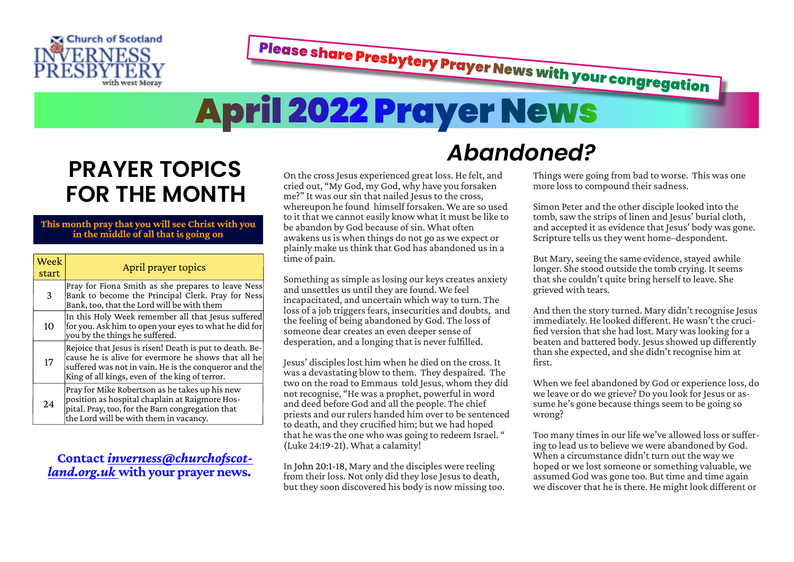

Please share Presbytery Prayer News with your congregation

*Abandoned?*

# **April 2022 Prayer News**

# **PRAYER TOPICS FOR THE MONTH**

## **This month pray that you will see Christ with you in the middle of all that is going on**

| Week<br>start | April prayer topics                                                                                                                                                                                                       |
|---------------|---------------------------------------------------------------------------------------------------------------------------------------------------------------------------------------------------------------------------|
| 3             | Pray for Fiona Smith as she prepares to leave Ness<br>Bank to become the Principal Clerk. Pray for Ness<br>Bank, too, that the Lord will be with them                                                                     |
| 10            | In this Holy Week remember all that Jesus suffered<br>for you. Ask him to open your eyes to what he did for<br>you by the things he suffered.                                                                             |
| 17            | Rejoice that Jesus is risen! Death is put to death. Be-<br>cause he is alive for evermore he shows that all he<br>suffered was not in vain. He is the conqueror and the<br>King of all kings, even of the king of terror. |
| 24            | Pray for Mike Robertson as he takes up his new<br>position as hospital chaplain at Raigmore Hos-<br>pital. Pray, too, for the Barn congregation that<br>the Lord will be with them in vacancy.                            |

# **Contact** *[inverness@churchofscot‐](mailto:inverness@churchofscotland.org.uk%20) [land.org.uk](mailto:inverness@churchofscotland.org.uk%20)* **with your prayer news.**

On the cross Jesus experienced great loss. He felt, and cried out, "My God, my God, why have you forsaken me?" It was our sin that nailed Jesus to the cross, whereupon he found himself forsaken. We are so used to it that we cannot easily know what it must be like to be abandon by God because of sin. What often awakens us is when things do not go as we expect or plainly make us think that God has abandoned us in a time of pain.

Something as simple as losing our keys creates anxiety and unsettles us until they are found. We feel incapacitated, and uncertain which way to turn. The loss of a job triggers fears, insecurities and doubts, and the feeling of being abandoned by God. The loss of someone dear creates an even deeper sense of desperation, and a longing that is never fulfilled.

Jesus' disciples lost him when he died on the cross. It was a devastating blow to them. They despaired. The two on the road to Emmaus told Jesus, whom they did not recognise, "He was a prophet, powerful in word and deed before God and all the people. The chief priests and our rulers handed him over to be sentenced to death, and they crucified him; but we had hoped that he was the one who was going to redeem Israel. " (Luke 24:19-21). What a calamity!

In John 20:1-18, Mary and the disciples were reeling from their loss. Not only did they lose Jesus to death, but they soon discovered his body is now missing too. Things were going from bad to worse. This was one more loss to compound their sadness.

Simon Peter and the other disciple looked into the tomb, saw the strips of linen and Jesus' burial cloth, and accepted it as evidence that Jesus' body was gone. Scripture tells us they went home–despondent.

But Mary, seeing the same evidence, stayed awhile longer. She stood outside the tomb crying. It seems that she couldn't quite bring herself to leave. She grieved with tears.

And then the story turned. Mary didn't recognise Jesus immediately. He looked different. He wasn't the crucified version that she had lost. Mary was looking for a beaten and battered body. Jesus showed up differently than she expected, and she didn't recognise him at first.

When we feel abandoned by God or experience loss, do we leave or do we grieve? Do you look for Jesus or assume he's gone because things seem to be going so wrong?

Too many times in our life we've allowed loss or suffer‐ ing to lead us to believe we were abandoned by God. When a circumstance didn't turn out the way we hoped or we lost someone or something valuable, we assumed God was gone too. But time and time again we discover that he is there. He might look different or